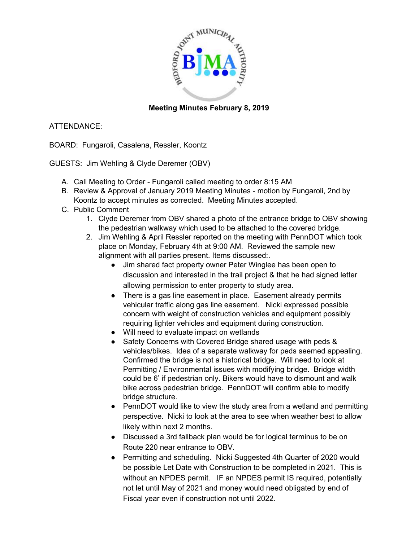

## **Meeting Minutes February 8, 2019**

## ATTENDANCE:

BOARD: Fungaroli, Casalena, Ressler, Koontz

GUESTS: Jim Wehling & Clyde Deremer (OBV)

- A. Call Meeting to Order Fungaroli called meeting to order 8:15 AM
- B. Review & Approval of January 2019 Meeting Minutes motion by Fungaroli, 2nd by Koontz to accept minutes as corrected. Meeting Minutes accepted.
- C. Public Comment
	- 1. Clyde Deremer from OBV shared a photo of the entrance bridge to OBV showing the pedestrian walkway which used to be attached to the covered bridge.
	- 2. Jim Wehling & April Ressler reported on the meeting with PennDOT which took place on Monday, February 4th at 9:00 AM. Reviewed the sample new alignment with all parties present. Items discussed:.
		- Jim shared fact property owner Peter Winglee has been open to discussion and interested in the trail project & that he had signed letter allowing permission to enter property to study area.
		- There is a gas line easement in place. Easement already permits vehicular traffic along gas line easement. Nicki expressed possible concern with weight of construction vehicles and equipment possibly requiring lighter vehicles and equipment during construction.
		- Will need to evaluate impact on wetlands
		- Safety Concerns with Covered Bridge shared usage with peds & vehicles/bikes. Idea of a separate walkway for peds seemed appealing. Confirmed the bridge is not a historical bridge. Will need to look at Permitting / Environmental issues with modifying bridge. Bridge width could be 6' if pedestrian only. Bikers would have to dismount and walk bike across pedestrian bridge. PennDOT will confirm able to modify bridge structure.
		- PennDOT would like to view the study area from a wetland and permitting perspective. Nicki to look at the area to see when weather best to allow likely within next 2 months.
		- Discussed a 3rd fallback plan would be for logical terminus to be on Route 220 near entrance to OBV.
		- Permitting and scheduling. Nicki Suggested 4th Quarter of 2020 would be possible Let Date with Construction to be completed in 2021. This is without an NPDES permit. IF an NPDES permit IS required, potentially not let until May of 2021 and money would need obligated by end of Fiscal year even if construction not until 2022.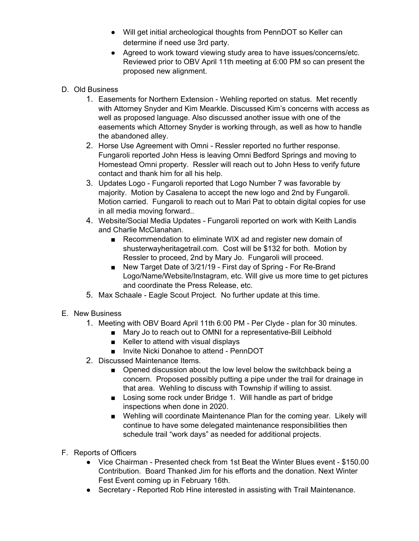- Will get initial archeological thoughts from PennDOT so Keller can determine if need use 3rd party.
- Agreed to work toward viewing study area to have issues/concerns/etc. Reviewed prior to OBV April 11th meeting at 6:00 PM so can present the proposed new alignment.
- D. Old Business
	- 1. Easements for Northern Extension Wehling reported on status. Met recently with Attorney Snyder and Kim Mearkle. Discussed Kim's concerns with access as well as proposed language. Also discussed another issue with one of the easements which Attorney Snyder is working through, as well as how to handle the abandoned alley.
	- 2. Horse Use Agreement with Omni Ressler reported no further response. Fungaroli reported John Hess is leaving Omni Bedford Springs and moving to Homestead Omni property. Ressler will reach out to John Hess to verify future contact and thank him for all his help.
	- 3. Updates Logo Fungaroli reported that Logo Number 7 was favorable by majority. Motion by Casalena to accept the new logo and 2nd by Fungaroli. Motion carried. Fungaroli to reach out to Mari Pat to obtain digital copies for use in all media moving forward..
	- 4. Website/Social Media Updates Fungaroli reported on work with Keith Landis and Charlie McClanahan.
		- Recommendation to eliminate WIX ad and register new domain of shusterwayheritagetrail.com. Cost will be \$132 for both. Motion by Ressler to proceed, 2nd by Mary Jo. Fungaroli will proceed.
		- New Target Date of 3/21/19 First day of Spring For Re-Brand Logo/Name/Website/Instagram, etc. Will give us more time to get pictures and coordinate the Press Release, etc.
	- 5. Max Schaale Eagle Scout Project. No further update at this time.
- E. New Business
	- 1. Meeting with OBV Board April 11th 6:00 PM Per Clyde plan for 30 minutes.
		- Mary Jo to reach out to OMNI for a representative-Bill Leibhold
		- Keller to attend with visual displays
		- Invite Nicki Donahoe to attend PennDOT
	- 2. Discussed Maintenance Items.
		- Opened discussion about the low level below the switchback being a concern. Proposed possibly putting a pipe under the trail for drainage in that area. Wehling to discuss with Township if willing to assist.
		- Losing some rock under Bridge 1. Will handle as part of bridge inspections when done in 2020.
		- Wehling will coordinate Maintenance Plan for the coming year. Likely will continue to have some delegated maintenance responsibilities then schedule trail "work days" as needed for additional projects.
- F. Reports of Officers
	- Vice Chairman Presented check from 1st Beat the Winter Blues event \$150.00 Contribution. Board Thanked Jim for his efforts and the donation. Next Winter Fest Event coming up in February 16th.
	- Secretary Reported Rob Hine interested in assisting with Trail Maintenance.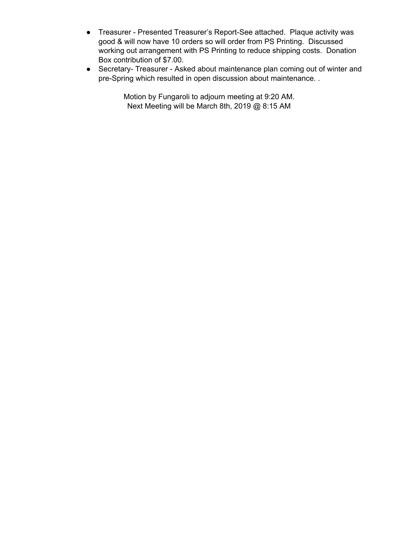- Treasurer Presented Treasurer's Report-See attached. Plaque activity was good & will now have 10 orders so will order from PS Printing. Discussed working out arrangement with PS Printing to reduce shipping costs. Donation Box contribution of \$7.00.
- Secretary- Treasurer Asked about maintenance plan coming out of winter and pre-Spring which resulted in open discussion about maintenance. .

Motion by Fungaroli to adjourn meeting at 9:20 AM. Next Meeting will be March 8th, 2019 @ 8:15 AM